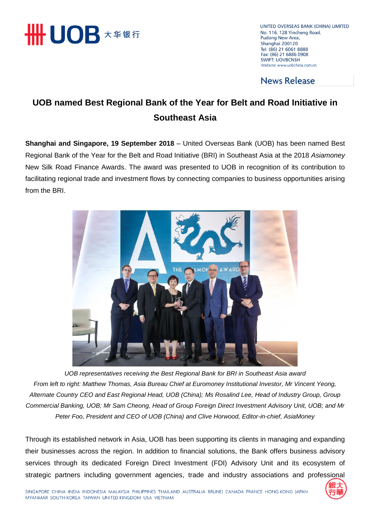

UNITED OVERSEAS BANK (CHINA) LIMITED No. 116, 128 Yincheng Road, Pudong New Area, Shanghai 200120 Tel: (86) 21 6061 8888 Fax: (86) 21 6886 0908 **SWIFT: UOVBCNSH** Website: www.uobchina.com.cn

**News Release** 

### **UOB named Best Regional Bank of the Year for Belt and Road Initiative in Southeast Asia**

**Shanghai and Singapore, 19 September 2018** – United Overseas Bank (UOB) has been named Best Regional Bank of the Year for the Belt and Road Initiative (BRI) in Southeast Asia at the 2018 *Asiamoney*  New Silk Road Finance Awards. The award was presented to UOB in recognition of its contribution to facilitating regional trade and investment flows by connecting companies to business opportunities arising from the BRI.



*UOB representatives receiving the Best Regional Bank for BRI in Southeast Asia award From left to right: Matthew Thomas, Asia Bureau Chief at Euromoney Institutional Investor, Mr Vincent Yeong, Alternate Country CEO and East Regional Head, UOB (China); Ms Rosalind Lee, Head of Industry Group, Group Commercial Banking, UOB; Mr Sam Cheong, Head of Group Foreign Direct Investment Advisory Unit, UOB; and Mr Peter Foo, President and CEO of UOB (China) and Clive Horwood, Editor-in-chief, AsiaMoney*

Through its established network in Asia, UOB has been supporting its clients in managing and expanding their businesses across the region. In addition to financial solutions, the Bank offers business advisory services through its dedicated Foreign Direct Investment (FDI) Advisory Unit and its ecosystem of strategic partners including government agencies, trade and industry associations and professional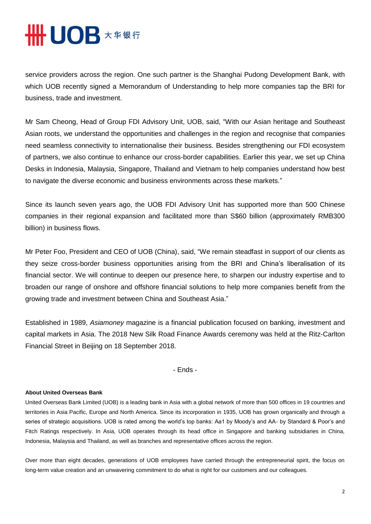# **HHUOB \*\*\*\***

service providers across the region. One such partner is the Shanghai Pudong Development Bank, with which UOB recently signed a Memorandum of Understanding to help more companies tap the BRI for business, trade and investment.

Mr Sam Cheong, Head of Group FDI Advisory Unit, UOB, said, "With our Asian heritage and Southeast Asian roots, we understand the opportunities and challenges in the region and recognise that companies need seamless connectivity to internationalise their business. Besides strengthening our FDI ecosystem of partners, we also continue to enhance our cross-border capabilities. Earlier this year, we set up China Desks in Indonesia, Malaysia, Singapore, Thailand and Vietnam to help companies understand how best to navigate the diverse economic and business environments across these markets."

Since its launch seven years ago, the UOB FDI Advisory Unit has supported more than 500 Chinese companies in their regional expansion and facilitated more than S\$60 billion (approximately RMB300 billion) in business flows.

Mr Peter Foo, President and CEO of UOB (China), said, "We remain steadfast in support of our clients as they seize cross-border business opportunities arising from the BRI and China's liberalisation of its financial sector. We will continue to deepen our presence here, to sharpen our industry expertise and to broaden our range of onshore and offshore financial solutions to help more companies benefit from the growing trade and investment between China and Southeast Asia."

Established in 1989, *Asiamoney* magazine is a financial publication focused on banking, investment and capital markets in Asia. The 2018 New Silk Road Finance Awards ceremony was held at the Ritz-Carlton Financial Street in Beijing on 18 September 2018.

- Ends -

#### **About United Overseas Bank**

United Overseas Bank Limited (UOB) is a leading bank in Asia with a global network of more than 500 offices in 19 countries and territories in Asia Pacific, Europe and North America. Since its incorporation in 1935, UOB has grown organically and through a series of strategic acquisitions. UOB is rated among the world's top banks: Aa1 by Moody's and AA- by Standard & Poor's and Fitch Ratings respectively. In Asia, UOB operates through its head office in Singapore and banking subsidiaries in China, Indonesia, Malaysia and Thailand, as well as branches and representative offices across the region.

Over more than eight decades, generations of UOB employees have carried through the entrepreneurial spirit, the focus on long-term value creation and an unwavering commitment to do what is right for our customers and our colleagues.